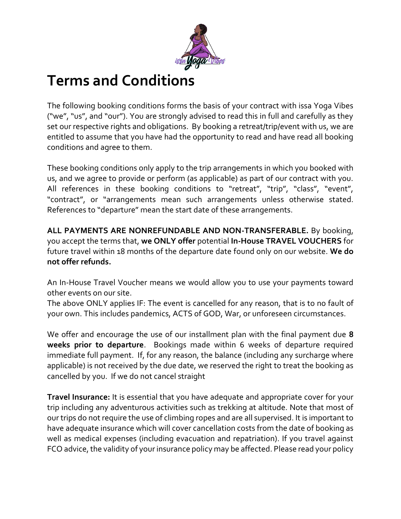

## **Terms and Conditions**

The following booking conditions forms the basis of your contract with issa Yoga Vibes ("we", "us", and "our"). You are strongly advised to read this in full and carefully as they set our respective rights and obligations. By booking a retreat/trip/event with us, we are entitled to assume that you have had the opportunity to read and have read all booking conditions and agree to them.

These booking conditions only apply to the trip arrangements in which you booked with us, and we agree to provide or perform (as applicable) as part of our contract with you. All references in these booking conditions to "retreat", "trip", "class", "event", "contract", or "arrangements mean such arrangements unless otherwise stated. References to "departure" mean the start date of these arrangements.

**ALL PAYMENTS ARE NONREFUNDABLE AND NON-TRANSFERABLE.** By booking, you accept the terms that, **we ONLY offer** potential **In-House TRAVEL VOUCHERS** for future travel within 18 months of the departure date found only on our website. **We do not offer refunds.**

An In-House Travel Voucher means we would allow you to use your payments toward other events on our site.

The above ONLY applies IF: The event is cancelled for any reason, that is to no fault of your own. This includes pandemics, ACTS of GOD, War, or unforeseen circumstances.

We offer and encourage the use of our installment plan with the final payment due **8 weeks prior to departure**. Bookings made within 6 weeks of departure required immediate full payment. If, for any reason, the balance (including any surcharge where applicable) is not received by the due date, we reserved the right to treat the booking as cancelled by you. If we do not cancel straight

**Travel Insurance:** It is essential that you have adequate and appropriate cover for your trip including any adventurous activities such as trekking at altitude. Note that most of our trips do not require the use of climbing ropes and are all supervised. It is important to have adequate insurance which will cover cancellation costs from the date of booking as well as medical expenses (including evacuation and repatriation). If you travel against FCO advice, the validity of your insurance policy may be affected. Please read your policy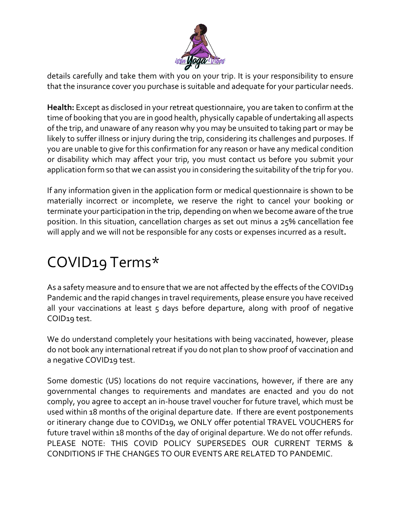

details carefully and take them with you on your trip. It is your responsibility to ensure that the insurance cover you purchase is suitable and adequate for your particular needs.

**Health:** Except as disclosed in your retreat questionnaire, you are taken to confirm at the time of booking that you are in good health, physically capable of undertaking all aspects of the trip, and unaware of any reason why you may be unsuited to taking part or may be likely to suffer illness or injury during the trip, considering its challenges and purposes. If you are unable to give for this confirmation for any reason or have any medical condition or disability which may affect your trip, you must contact us before you submit your application form so that we can assist you in considering the suitability of the trip for you.

If any information given in the application form or medical questionnaire is shown to be materially incorrect or incomplete, we reserve the right to cancel your booking or terminate your participation in the trip, depending on when we become aware of the true position. In this situation, cancellation charges as set out minus a 25% cancellation fee will apply and we will not be responsible for any costs or expenses incurred as a result**.**

## COVID19 Terms\*

As a safety measure and to ensure that we are not affected by the effects of the COVID19 Pandemic and the rapid changes in travel requirements, please ensure you have received all your vaccinations at least  $5$  days before departure, along with proof of negative COID19 test.

We do understand completely your hesitations with being vaccinated, however, please do not book any international retreat if you do not plan to show proof of vaccination and a negative COVID19 test.

Some domestic (US) locations do not require vaccinations, however, if there are any governmental changes to requirements and mandates are enacted and you do not comply, you agree to accept an in-house travel voucher for future travel, which must be used within 18 months of the original departure date. If there are event postponements or itinerary change due to COVID19, we ONLY offer potential TRAVEL VOUCHERS for future travel within 18 months of the day of original departure. We do not offer refunds. PLEASE NOTE: THIS COVID POLICY SUPERSEDES OUR CURRENT TERMS & CONDITIONS IF THE CHANGES TO OUR EVENTS ARE RELATED TO PANDEMIC.